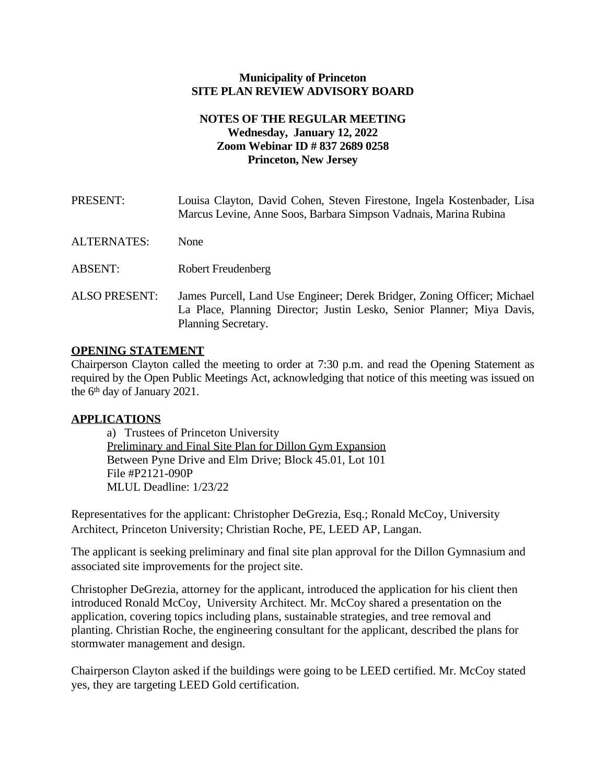#### **Municipality of Princeton SITE PLAN REVIEW ADVISORY BOARD**

## **NOTES OF THE REGULAR MEETING Wednesday, January 12, 2022 Zoom Webinar ID # 837 2689 0258 Princeton, New Jersey**

PRESENT: Louisa Clayton, David Cohen, Steven Firestone, Ingela Kostenbader, Lisa Marcus Levine, Anne Soos, Barbara Simpson Vadnais, Marina Rubina ALTERNATES: None ABSENT: Robert Freudenberg ALSO PRESENT: James Purcell, Land Use Engineer; Derek Bridger, Zoning Officer; Michael La Place, Planning Director; Justin Lesko, Senior Planner; Miya Davis, Planning Secretary.

### **OPENING STATEMENT**

Chairperson Clayton called the meeting to order at 7:30 p.m. and read the Opening Statement as required by the Open Public Meetings Act, acknowledging that notice of this meeting was issued on the  $6<sup>th</sup>$  day of January 2021.

#### **APPLICATIONS**

a) Trustees of Princeton University Preliminary and Final Site Plan for Dillon Gym Expansion Between Pyne Drive and Elm Drive; Block 45.01, Lot 101 File #P2121-090P MLUL Deadline: 1/23/22

Representatives for the applicant: Christopher DeGrezia, Esq.; Ronald McCoy, University Architect, Princeton University; Christian Roche, PE, LEED AP, Langan.

The applicant is seeking preliminary and final site plan approval for the Dillon Gymnasium and associated site improvements for the project site.

Christopher DeGrezia, attorney for the applicant, introduced the application for his client then introduced Ronald McCoy, University Architect. Mr. McCoy shared a presentation on the application, covering topics including plans, sustainable strategies, and tree removal and planting. Christian Roche, the engineering consultant for the applicant, described the plans for stormwater management and design.

Chairperson Clayton asked if the buildings were going to be LEED certified. Mr. McCoy stated yes, they are targeting LEED Gold certification.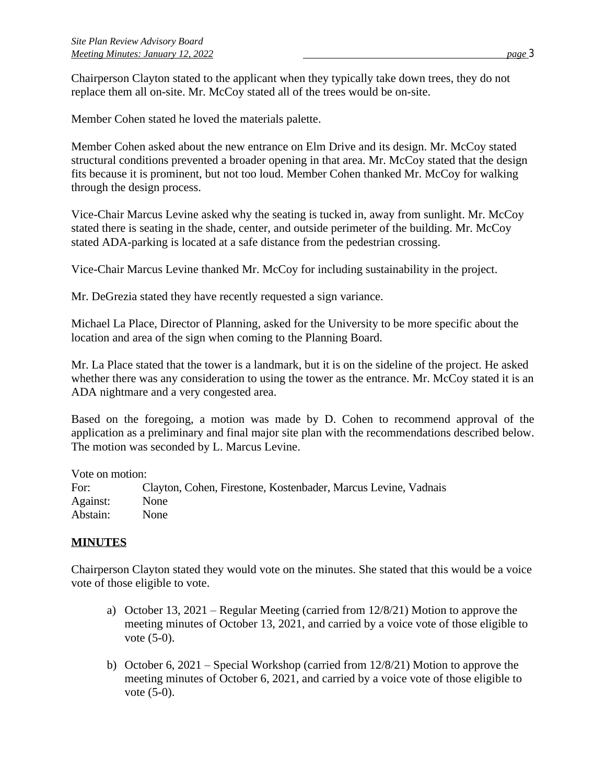Chairperson Clayton stated to the applicant when they typically take down trees, they do not replace them all on-site. Mr. McCoy stated all of the trees would be on-site.

Member Cohen stated he loved the materials palette.

Member Cohen asked about the new entrance on Elm Drive and its design. Mr. McCoy stated structural conditions prevented a broader opening in that area. Mr. McCoy stated that the design fits because it is prominent, but not too loud. Member Cohen thanked Mr. McCoy for walking through the design process.

Vice-Chair Marcus Levine asked why the seating is tucked in, away from sunlight. Mr. McCoy stated there is seating in the shade, center, and outside perimeter of the building. Mr. McCoy stated ADA-parking is located at a safe distance from the pedestrian crossing.

Vice-Chair Marcus Levine thanked Mr. McCoy for including sustainability in the project.

Mr. DeGrezia stated they have recently requested a sign variance.

Michael La Place, Director of Planning, asked for the University to be more specific about the location and area of the sign when coming to the Planning Board.

Mr. La Place stated that the tower is a landmark, but it is on the sideline of the project. He asked whether there was any consideration to using the tower as the entrance. Mr. McCoy stated it is an ADA nightmare and a very congested area.

Based on the foregoing, a motion was made by D. Cohen to recommend approval of the application as a preliminary and final major site plan with the recommendations described below. The motion was seconded by L. Marcus Levine.

Vote on motion:

For: Clayton, Cohen, Firestone, Kostenbader, Marcus Levine, Vadnais Against: None Abstain: None

# **MINUTES**

Chairperson Clayton stated they would vote on the minutes. She stated that this would be a voice vote of those eligible to vote.

- a) October 13, 2021 Regular Meeting (carried from 12/8/21) Motion to approve the meeting minutes of October 13, 2021, and carried by a voice vote of those eligible to vote (5-0).
- b) October 6, 2021 Special Workshop (carried from 12/8/21) Motion to approve the meeting minutes of October 6, 2021, and carried by a voice vote of those eligible to vote (5-0).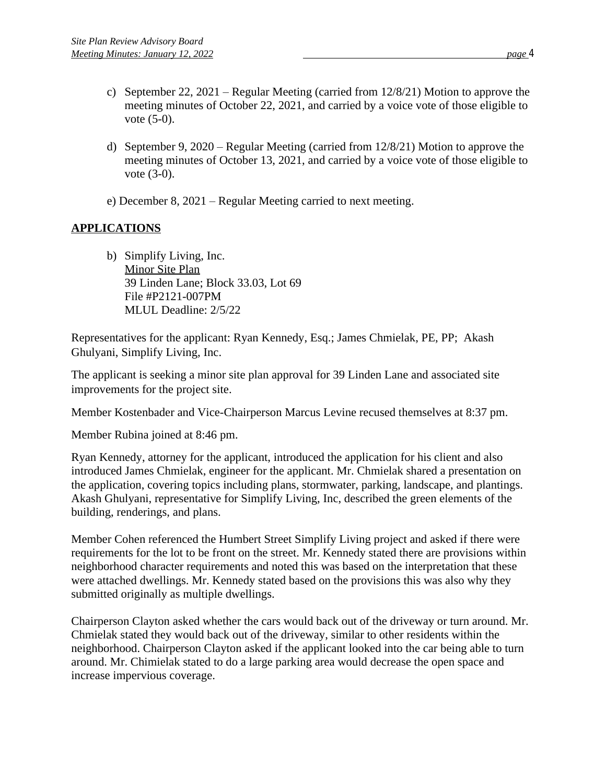- c) September 22, 2021 Regular Meeting (carried from 12/8/21) Motion to approve the meeting minutes of October 22, 2021, and carried by a voice vote of those eligible to vote (5-0).
- d) September 9, 2020 Regular Meeting (carried from 12/8/21) Motion to approve the meeting minutes of October 13, 2021, and carried by a voice vote of those eligible to vote (3-0).
- e) December 8, 2021 Regular Meeting carried to next meeting.

# **APPLICATIONS**

b) Simplify Living, Inc. Minor Site Plan 39 Linden Lane; Block 33.03, Lot 69 File #P2121-007PM MLUL Deadline: 2/5/22

Representatives for the applicant: Ryan Kennedy, Esq.; James Chmielak, PE, PP; Akash Ghulyani, Simplify Living, Inc.

The applicant is seeking a minor site plan approval for 39 Linden Lane and associated site improvements for the project site.

Member Kostenbader and Vice-Chairperson Marcus Levine recused themselves at 8:37 pm.

Member Rubina joined at 8:46 pm.

Ryan Kennedy, attorney for the applicant, introduced the application for his client and also introduced James Chmielak, engineer for the applicant. Mr. Chmielak shared a presentation on the application, covering topics including plans, stormwater, parking, landscape, and plantings. Akash Ghulyani, representative for Simplify Living, Inc, described the green elements of the building, renderings, and plans.

Member Cohen referenced the Humbert Street Simplify Living project and asked if there were requirements for the lot to be front on the street. Mr. Kennedy stated there are provisions within neighborhood character requirements and noted this was based on the interpretation that these were attached dwellings. Mr. Kennedy stated based on the provisions this was also why they submitted originally as multiple dwellings.

Chairperson Clayton asked whether the cars would back out of the driveway or turn around. Mr. Chmielak stated they would back out of the driveway, similar to other residents within the neighborhood. Chairperson Clayton asked if the applicant looked into the car being able to turn around. Mr. Chimielak stated to do a large parking area would decrease the open space and increase impervious coverage.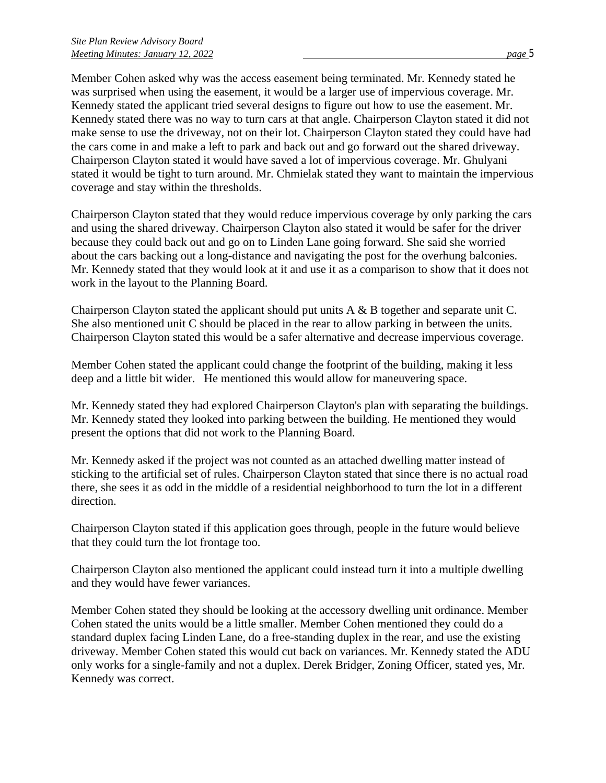Member Cohen asked why was the access easement being terminated. Mr. Kennedy stated he was surprised when using the easement, it would be a larger use of impervious coverage. Mr. Kennedy stated the applicant tried several designs to figure out how to use the easement. Mr. Kennedy stated there was no way to turn cars at that angle. Chairperson Clayton stated it did not make sense to use the driveway, not on their lot. Chairperson Clayton stated they could have had the cars come in and make a left to park and back out and go forward out the shared driveway. Chairperson Clayton stated it would have saved a lot of impervious coverage. Mr. Ghulyani stated it would be tight to turn around. Mr. Chmielak stated they want to maintain the impervious coverage and stay within the thresholds.

Chairperson Clayton stated that they would reduce impervious coverage by only parking the cars and using the shared driveway. Chairperson Clayton also stated it would be safer for the driver because they could back out and go on to Linden Lane going forward. She said she worried about the cars backing out a long-distance and navigating the post for the overhung balconies. Mr. Kennedy stated that they would look at it and use it as a comparison to show that it does not work in the layout to the Planning Board.

Chairperson Clayton stated the applicant should put units A & B together and separate unit C. She also mentioned unit C should be placed in the rear to allow parking in between the units. Chairperson Clayton stated this would be a safer alternative and decrease impervious coverage.

Member Cohen stated the applicant could change the footprint of the building, making it less deep and a little bit wider. He mentioned this would allow for maneuvering space.

Mr. Kennedy stated they had explored Chairperson Clayton's plan with separating the buildings. Mr. Kennedy stated they looked into parking between the building. He mentioned they would present the options that did not work to the Planning Board.

Mr. Kennedy asked if the project was not counted as an attached dwelling matter instead of sticking to the artificial set of rules. Chairperson Clayton stated that since there is no actual road there, she sees it as odd in the middle of a residential neighborhood to turn the lot in a different direction.

Chairperson Clayton stated if this application goes through, people in the future would believe that they could turn the lot frontage too.

Chairperson Clayton also mentioned the applicant could instead turn it into a multiple dwelling and they would have fewer variances.

Member Cohen stated they should be looking at the accessory dwelling unit ordinance. Member Cohen stated the units would be a little smaller. Member Cohen mentioned they could do a standard duplex facing Linden Lane, do a free-standing duplex in the rear, and use the existing driveway. Member Cohen stated this would cut back on variances. Mr. Kennedy stated the ADU only works for a single-family and not a duplex. Derek Bridger, Zoning Officer, stated yes, Mr. Kennedy was correct.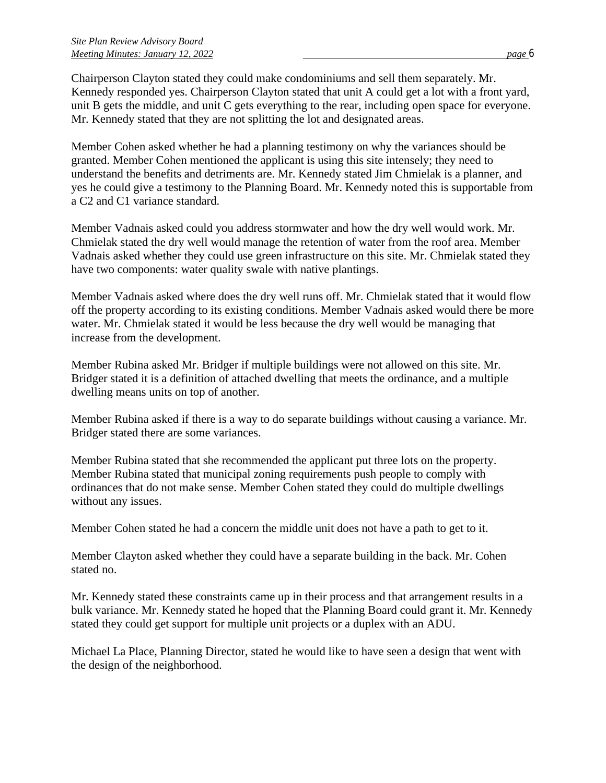Chairperson Clayton stated they could make condominiums and sell them separately. Mr. Kennedy responded yes. Chairperson Clayton stated that unit A could get a lot with a front yard, unit B gets the middle, and unit C gets everything to the rear, including open space for everyone. Mr. Kennedy stated that they are not splitting the lot and designated areas.

Member Cohen asked whether he had a planning testimony on why the variances should be granted. Member Cohen mentioned the applicant is using this site intensely; they need to understand the benefits and detriments are. Mr. Kennedy stated Jim Chmielak is a planner, and yes he could give a testimony to the Planning Board. Mr. Kennedy noted this is supportable from a C2 and C1 variance standard.

Member Vadnais asked could you address stormwater and how the dry well would work. Mr. Chmielak stated the dry well would manage the retention of water from the roof area. Member Vadnais asked whether they could use green infrastructure on this site. Mr. Chmielak stated they have two components: water quality swale with native plantings.

Member Vadnais asked where does the dry well runs off. Mr. Chmielak stated that it would flow off the property according to its existing conditions. Member Vadnais asked would there be more water. Mr. Chmielak stated it would be less because the dry well would be managing that increase from the development.

Member Rubina asked Mr. Bridger if multiple buildings were not allowed on this site. Mr. Bridger stated it is a definition of attached dwelling that meets the ordinance, and a multiple dwelling means units on top of another.

Member Rubina asked if there is a way to do separate buildings without causing a variance. Mr. Bridger stated there are some variances.

Member Rubina stated that she recommended the applicant put three lots on the property. Member Rubina stated that municipal zoning requirements push people to comply with ordinances that do not make sense. Member Cohen stated they could do multiple dwellings without any issues.

Member Cohen stated he had a concern the middle unit does not have a path to get to it.

Member Clayton asked whether they could have a separate building in the back. Mr. Cohen stated no.

Mr. Kennedy stated these constraints came up in their process and that arrangement results in a bulk variance. Mr. Kennedy stated he hoped that the Planning Board could grant it. Mr. Kennedy stated they could get support for multiple unit projects or a duplex with an ADU.

Michael La Place, Planning Director, stated he would like to have seen a design that went with the design of the neighborhood.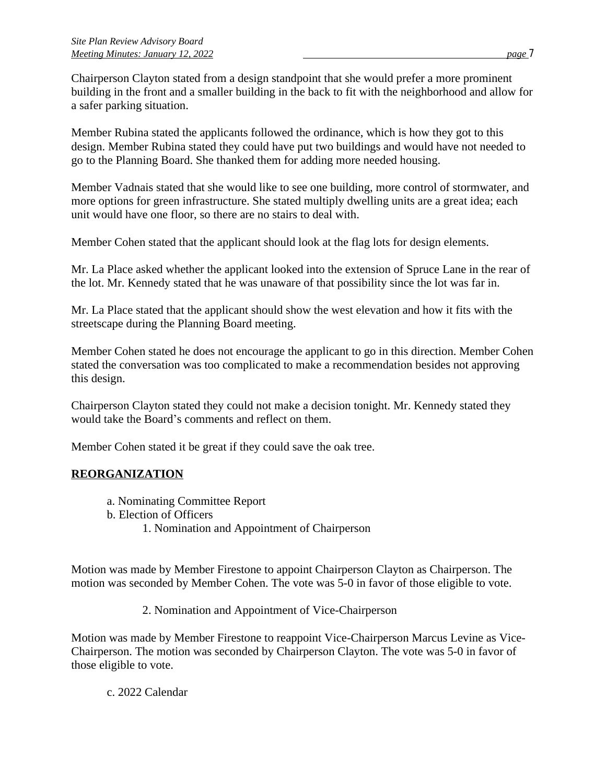Chairperson Clayton stated from a design standpoint that she would prefer a more prominent building in the front and a smaller building in the back to fit with the neighborhood and allow for a safer parking situation.

Member Rubina stated the applicants followed the ordinance, which is how they got to this design. Member Rubina stated they could have put two buildings and would have not needed to go to the Planning Board. She thanked them for adding more needed housing.

Member Vadnais stated that she would like to see one building, more control of stormwater, and more options for green infrastructure. She stated multiply dwelling units are a great idea; each unit would have one floor, so there are no stairs to deal with.

Member Cohen stated that the applicant should look at the flag lots for design elements.

Mr. La Place asked whether the applicant looked into the extension of Spruce Lane in the rear of the lot. Mr. Kennedy stated that he was unaware of that possibility since the lot was far in.

Mr. La Place stated that the applicant should show the west elevation and how it fits with the streetscape during the Planning Board meeting.

Member Cohen stated he does not encourage the applicant to go in this direction. Member Cohen stated the conversation was too complicated to make a recommendation besides not approving this design.

Chairperson Clayton stated they could not make a decision tonight. Mr. Kennedy stated they would take the Board's comments and reflect on them.

Member Cohen stated it be great if they could save the oak tree.

# **REORGANIZATION**

- a. Nominating Committee Report
- b. Election of Officers
	- 1. Nomination and Appointment of Chairperson

Motion was made by Member Firestone to appoint Chairperson Clayton as Chairperson. The motion was seconded by Member Cohen. The vote was 5-0 in favor of those eligible to vote.

2. Nomination and Appointment of Vice-Chairperson

Motion was made by Member Firestone to reappoint Vice-Chairperson Marcus Levine as Vice-Chairperson. The motion was seconded by Chairperson Clayton. The vote was 5-0 in favor of those eligible to vote.

c. 2022 Calendar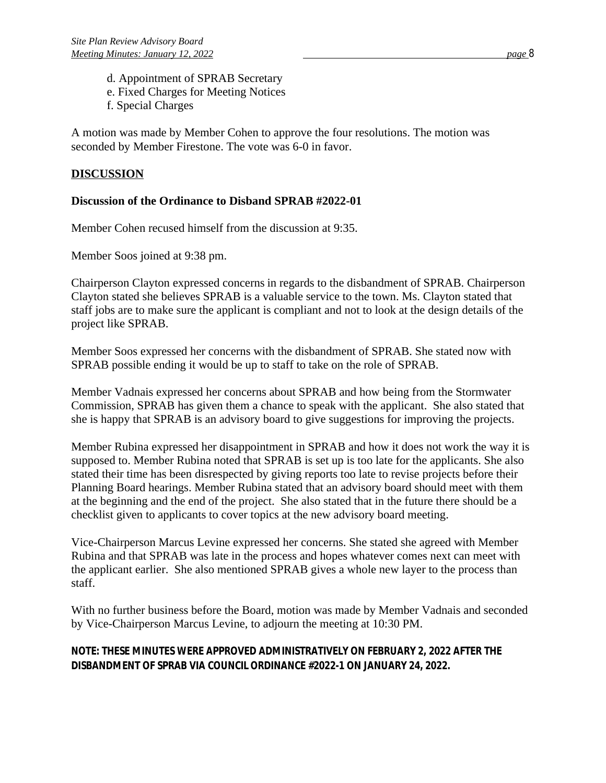- d. Appointment of SPRAB Secretary
- e. Fixed Charges for Meeting Notices
- f. Special Charges

A motion was made by Member Cohen to approve the four resolutions. The motion was seconded by Member Firestone. The vote was 6-0 in favor.

# **DISCUSSION**

### **Discussion of the Ordinance to Disband SPRAB #2022-01**

Member Cohen recused himself from the discussion at 9:35.

Member Soos joined at 9:38 pm.

Chairperson Clayton expressed concerns in regards to the disbandment of SPRAB. Chairperson Clayton stated she believes SPRAB is a valuable service to the town. Ms. Clayton stated that staff jobs are to make sure the applicant is compliant and not to look at the design details of the project like SPRAB.

Member Soos expressed her concerns with the disbandment of SPRAB. She stated now with SPRAB possible ending it would be up to staff to take on the role of SPRAB.

Member Vadnais expressed her concerns about SPRAB and how being from the Stormwater Commission, SPRAB has given them a chance to speak with the applicant. She also stated that she is happy that SPRAB is an advisory board to give suggestions for improving the projects.

Member Rubina expressed her disappointment in SPRAB and how it does not work the way it is supposed to. Member Rubina noted that SPRAB is set up is too late for the applicants. She also stated their time has been disrespected by giving reports too late to revise projects before their Planning Board hearings. Member Rubina stated that an advisory board should meet with them at the beginning and the end of the project. She also stated that in the future there should be a checklist given to applicants to cover topics at the new advisory board meeting.

Vice-Chairperson Marcus Levine expressed her concerns. She stated she agreed with Member Rubina and that SPRAB was late in the process and hopes whatever comes next can meet with the applicant earlier. She also mentioned SPRAB gives a whole new layer to the process than staff.

With no further business before the Board, motion was made by Member Vadnais and seconded by Vice-Chairperson Marcus Levine, to adjourn the meeting at 10:30 PM.

# *NOTE: THESE MINUTES WERE APPROVED ADMINISTRATIVELY ON FEBRUARY 2, 2022 AFTER THE DISBANDMENT OF SPRAB VIA COUNCIL ORDINANCE #2022-1 ON JANUARY 24, 2022.*